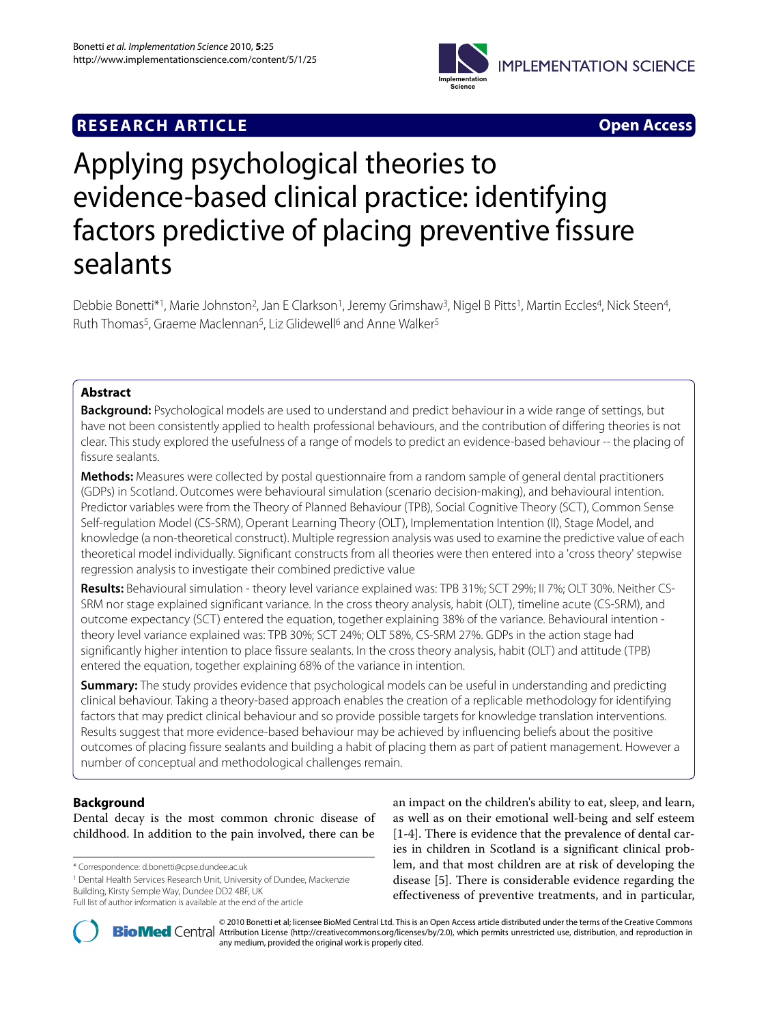## **RESEARCH ARTICLE Open Access**



# Applying psychological theories to evidence-based clinical practice: identifying factors predictive of placing preventive fissure sealants

Debbie Bonetti\*1, Marie Johnston<sup>2</sup>, Jan E Clarkson<sup>1</sup>, Jeremy Grimshaw<sup>3</sup>, Nigel B Pitts<sup>1</sup>, Martin Eccles<sup>4</sup>, Nick Steen<sup>4</sup>, Ruth Thomas<sup>5</sup>, Graeme Maclennan<sup>5</sup>, Liz Glidewell<sup>6</sup> and Anne Walker<sup>5</sup>

## **Abstract**

**Background:** Psychological models are used to understand and predict behaviour in a wide range of settings, but have not been consistently applied to health professional behaviours, and the contribution of differing theories is not clear. This study explored the usefulness of a range of models to predict an evidence-based behaviour -- the placing of fissure sealants.

**Methods:** Measures were collected by postal questionnaire from a random sample of general dental practitioners (GDPs) in Scotland. Outcomes were behavioural simulation (scenario decision-making), and behavioural intention. Predictor variables were from the Theory of Planned Behaviour (TPB), Social Cognitive Theory (SCT), Common Sense Self-regulation Model (CS-SRM), Operant Learning Theory (OLT), Implementation Intention (II), Stage Model, and knowledge (a non-theoretical construct). Multiple regression analysis was used to examine the predictive value of each theoretical model individually. Significant constructs from all theories were then entered into a 'cross theory' stepwise regression analysis to investigate their combined predictive value

**Results:** Behavioural simulation - theory level variance explained was: TPB 31%; SCT 29%; II 7%; OLT 30%. Neither CS-SRM nor stage explained significant variance. In the cross theory analysis, habit (OLT), timeline acute (CS-SRM), and outcome expectancy (SCT) entered the equation, together explaining 38% of the variance. Behavioural intention theory level variance explained was: TPB 30%; SCT 24%; OLT 58%, CS-SRM 27%. GDPs in the action stage had significantly higher intention to place fissure sealants. In the cross theory analysis, habit (OLT) and attitude (TPB) entered the equation, together explaining 68% of the variance in intention.

**Summary:** The study provides evidence that psychological models can be useful in understanding and predicting clinical behaviour. Taking a theory-based approach enables the creation of a replicable methodology for identifying factors that may predict clinical behaviour and so provide possible targets for knowledge translation interventions. Results suggest that more evidence-based behaviour may be achieved by influencing beliefs about the positive outcomes of placing fissure sealants and building a habit of placing them as part of patient management. However a number of conceptual and methodological challenges remain.

## **Background**

Dental decay is the most common chronic disease of childhood. In addition to the pain involved, there can be

1 Dental Health Services Research Unit, University of Dundee, Mackenzie Building, Kirsty Semple Way, Dundee DD2 4BF, UK

an impact on the children's ability to eat, sleep, and learn, as well as on their emotional well-being and self esteem [[1](#page-12-0)[-4](#page-12-1)]. There is evidence that the prevalence of dental caries in children in Scotland is a significant clinical problem, and that most children are at risk of developing the disease [\[5\]](#page-12-2). There is considerable evidence regarding the effectiveness of preventive treatments, and in particular,



2010 Bonetti et al; licensee [BioMed](http://www.biomedcentral.com/) Central Ltd. This is an Open Access article distributed under the terms of the Creative Commons (http://creativecommons.org/licenses/by/2.0), which permits unrestricted use, distribution any medium, provided the original work is properly cited.

<sup>\*</sup> Correspondence: d.bonetti@cpse.dundee.ac.uk

Full list of author information is available at the end of the article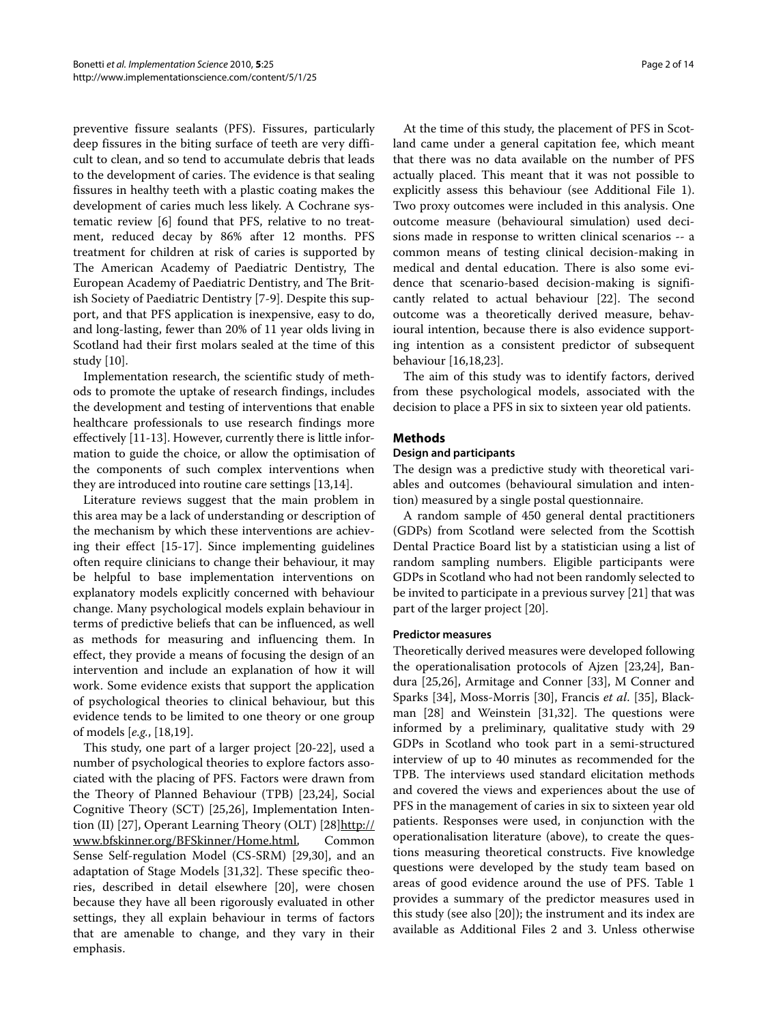preventive fissure sealants (PFS). Fissures, particularly deep fissures in the biting surface of teeth are very difficult to clean, and so tend to accumulate debris that leads to the development of caries. The evidence is that sealing fissures in healthy teeth with a plastic coating makes the development of caries much less likely. A Cochrane systematic review [\[6](#page-12-3)] found that PFS, relative to no treatment, reduced decay by 86% after 12 months. PFS treatment for children at risk of caries is supported by The American Academy of Paediatric Dentistry, The European Academy of Paediatric Dentistry, and The British Society of Paediatric Dentistry [[7-](#page-12-4)[9](#page-12-5)]. Despite this support, and that PFS application is inexpensive, easy to do, and long-lasting, fewer than 20% of 11 year olds living in Scotland had their first molars sealed at the time of this study [\[10](#page-12-6)].

Implementation research, the scientific study of methods to promote the uptake of research findings, includes the development and testing of interventions that enable healthcare professionals to use research findings more effectively [\[11](#page-12-7)-[13\]](#page-12-8). However, currently there is little information to guide the choice, or allow the optimisation of the components of such complex interventions when they are introduced into routine care settings [\[13](#page-12-8)[,14](#page-12-9)].

Literature reviews suggest that the main problem in this area may be a lack of understanding or description of the mechanism by which these interventions are achieving their effect [\[15-](#page-12-10)[17](#page-12-11)]. Since implementing guidelines often require clinicians to change their behaviour, it may be helpful to base implementation interventions on explanatory models explicitly concerned with behaviour change. Many psychological models explain behaviour in terms of predictive beliefs that can be influenced, as well as methods for measuring and influencing them. In effect, they provide a means of focusing the design of an intervention and include an explanation of how it will work. Some evidence exists that support the application of psychological theories to clinical behaviour, but this evidence tends to be limited to one theory or one group of models [*e.g.*, [[18](#page-12-12),[19\]](#page-12-13).

This study, one part of a larger project [\[20](#page-12-14)[-22](#page-12-15)], used a number of psychological theories to explore factors associated with the placing of PFS. Factors were drawn from the Theory of Planned Behaviour (TPB) [[23](#page-12-16),[24\]](#page-12-17), Social Cognitive Theory (SCT) [\[25](#page-12-18)[,26](#page-12-19)], Implementation Inten-tion (II) [\[27\]](#page-12-20), Operant Learning Theory (OLT) [\[28](#page-12-21)] http:// [www.bfskinner.org/BFSkinner/Home.html](http://www.bfskinner.org/BFSkinner/Home.html), Common Sense Self-regulation Model (CS-SRM) [[29](#page-12-22),[30](#page-12-23)], and an adaptation of Stage Models [\[31](#page-12-24)[,32](#page-12-25)]. These specific theories, described in detail elsewhere [[20\]](#page-12-14), were chosen because they have all been rigorously evaluated in other settings, they all explain behaviour in terms of factors that are amenable to change, and they vary in their emphasis.

At the time of this study, the placement of PFS in Scotland came under a general capitation fee, which meant that there was no data available on the number of PFS actually placed. This meant that it was not possible to explicitly assess this behaviour (see Additional File [1](#page-11-0)). Two proxy outcomes were included in this analysis. One outcome measure (behavioural simulation) used decisions made in response to written clinical scenarios -- a common means of testing clinical decision-making in medical and dental education. There is also some evidence that scenario-based decision-making is significantly related to actual behaviour [[22\]](#page-12-15). The second outcome was a theoretically derived measure, behavioural intention, because there is also evidence supporting intention as a consistent predictor of subsequent behaviour [\[16,](#page-12-26)[18](#page-12-12)[,23](#page-12-16)].

The aim of this study was to identify factors, derived from these psychological models, associated with the decision to place a PFS in six to sixteen year old patients.

## **Methods**

#### **Design and participants**

The design was a predictive study with theoretical variables and outcomes (behavioural simulation and intention) measured by a single postal questionnaire.

A random sample of 450 general dental practitioners (GDPs) from Scotland were selected from the Scottish Dental Practice Board list by a statistician using a list of random sampling numbers. Eligible participants were GDPs in Scotland who had not been randomly selected to be invited to participate in a previous survey [[21\]](#page-12-27) that was part of the larger project [[20\]](#page-12-14).

#### **Predictor measures**

Theoretically derived measures were developed following the operationalisation protocols of Ajzen [\[23](#page-12-16)[,24](#page-12-17)], Bandura [\[25,](#page-12-18)[26\]](#page-12-19), Armitage and Conner [\[33](#page-12-28)], M Conner and Sparks [\[34](#page-12-29)], Moss-Morris [[30\]](#page-12-23), Francis *et al*. [[35\]](#page-12-30), Blackman [\[28](#page-12-21)] and Weinstein [\[31](#page-12-24)[,32](#page-12-25)]. The questions were informed by a preliminary, qualitative study with 29 GDPs in Scotland who took part in a semi-structured interview of up to 40 minutes as recommended for the TPB. The interviews used standard elicitation methods and covered the views and experiences about the use of PFS in the management of caries in six to sixteen year old patients. Responses were used, in conjunction with the operationalisation literature (above), to create the questions measuring theoretical constructs. Five knowledge questions were developed by the study team based on areas of good evidence around the use of PFS. Table 1 provides a summary of the predictor measures used in this study (see also [[20\]](#page-12-14)); the instrument and its index are available as Additional Files [2](#page-11-1) and [3](#page-11-2). Unless otherwise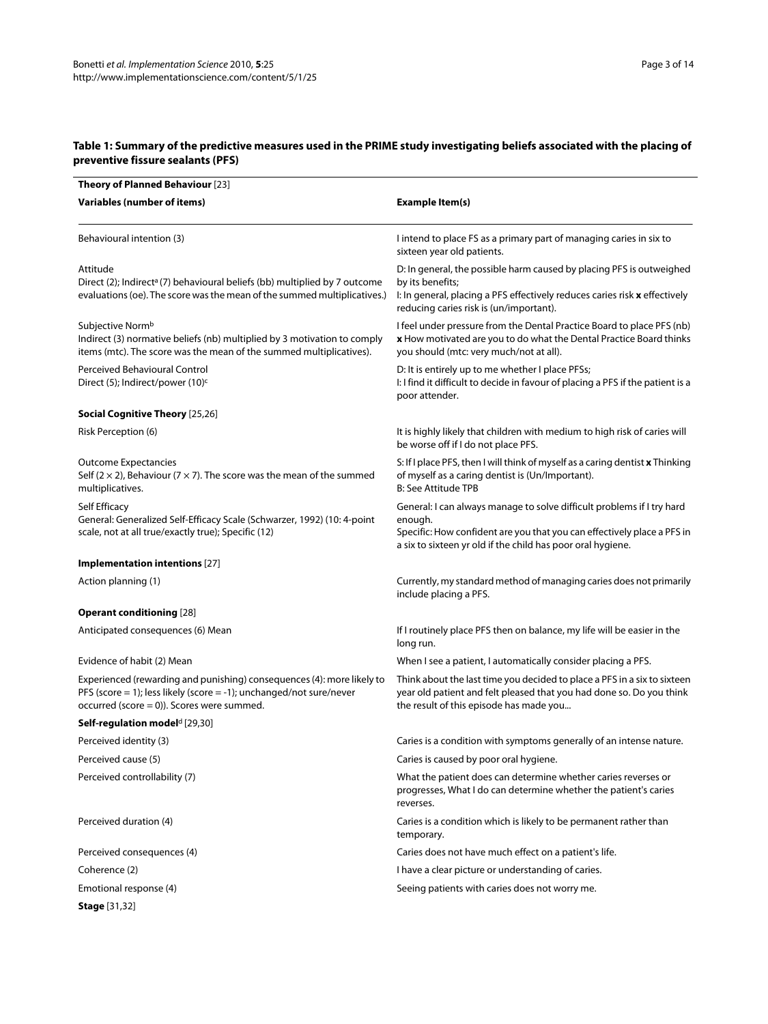$\overline{a}$ 

## **Table 1: Summary of the predictive measures used in the PRIME study investigating beliefs associated with the placing of preventive fissure sealants (PFS)**

| Theory of Planned Behaviour [23]                                                                                                                                                            |                                                                                                                                                                                                                             |
|---------------------------------------------------------------------------------------------------------------------------------------------------------------------------------------------|-----------------------------------------------------------------------------------------------------------------------------------------------------------------------------------------------------------------------------|
| Variables (number of items)                                                                                                                                                                 | Example Item(s)                                                                                                                                                                                                             |
| Behavioural intention (3)                                                                                                                                                                   | I intend to place FS as a primary part of managing caries in six to<br>sixteen year old patients.                                                                                                                           |
| Attitude<br>Direct (2); Indirect <sup>a</sup> (7) behavioural beliefs (bb) multiplied by 7 outcome<br>evaluations (oe). The score was the mean of the summed multiplicatives.)              | D: In general, the possible harm caused by placing PFS is outweighed<br>by its benefits;<br>I: In general, placing a PFS effectively reduces caries risk x effectively<br>reducing caries risk is (un/important).           |
| Subjective Norm <sup>b</sup><br>Indirect (3) normative beliefs (nb) multiplied by 3 motivation to comply<br>items (mtc). The score was the mean of the summed multiplicatives).             | I feel under pressure from the Dental Practice Board to place PFS (nb)<br>x How motivated are you to do what the Dental Practice Board thinks<br>you should (mtc: very much/not at all).                                    |
| Perceived Behavioural Control<br>Direct (5); Indirect/power (10) <sup>c</sup>                                                                                                               | D: It is entirely up to me whether I place PFSs;<br>I: I find it difficult to decide in favour of placing a PFS if the patient is a<br>poor attender.                                                                       |
| <b>Social Cognitive Theory</b> [25,26]                                                                                                                                                      |                                                                                                                                                                                                                             |
| Risk Perception (6)                                                                                                                                                                         | It is highly likely that children with medium to high risk of caries will<br>be worse off if I do not place PFS.                                                                                                            |
| <b>Outcome Expectancies</b><br>Self ( $2 \times 2$ ), Behaviour ( $7 \times 7$ ). The score was the mean of the summed<br>multiplicatives.                                                  | S: If I place PFS, then I will think of myself as a caring dentist x Thinking<br>of myself as a caring dentist is (Un/Important).<br><b>B: See Attitude TPB</b>                                                             |
| Self Efficacy<br>General: Generalized Self-Efficacy Scale (Schwarzer, 1992) (10: 4-point<br>scale, not at all true/exactly true); Specific (12)                                             | General: I can always manage to solve difficult problems if I try hard<br>enough.<br>Specific: How confident are you that you can effectively place a PFS in<br>a six to sixteen yr old if the child has poor oral hygiene. |
| <b>Implementation intentions</b> [27]                                                                                                                                                       |                                                                                                                                                                                                                             |
| Action planning (1)                                                                                                                                                                         | Currently, my standard method of managing caries does not primarily<br>include placing a PFS.                                                                                                                               |
| <b>Operant conditioning [28]</b>                                                                                                                                                            |                                                                                                                                                                                                                             |
| Anticipated consequences (6) Mean                                                                                                                                                           | If I routinely place PFS then on balance, my life will be easier in the<br>long run.                                                                                                                                        |
| Evidence of habit (2) Mean                                                                                                                                                                  | When I see a patient, I automatically consider placing a PFS.                                                                                                                                                               |
| Experienced (rewarding and punishing) consequences (4): more likely to<br>PFS (score = 1); less likely (score = -1); unchanged/not sure/never<br>occurred (score = 0)). Scores were summed. | Think about the last time you decided to place a PFS in a six to sixteen<br>year old patient and felt pleased that you had done so. Do you think<br>the result of this episode has made you                                 |
| Self-regulation modeld [29,30]                                                                                                                                                              |                                                                                                                                                                                                                             |
| Perceived identity (3)                                                                                                                                                                      | Caries is a condition with symptoms generally of an intense nature.                                                                                                                                                         |
| Perceived cause (5)                                                                                                                                                                         | Caries is caused by poor oral hygiene.                                                                                                                                                                                      |
| Perceived controllability (7)                                                                                                                                                               | What the patient does can determine whether caries reverses or<br>progresses, What I do can determine whether the patient's caries<br>reverses.                                                                             |
| Perceived duration (4)                                                                                                                                                                      | Caries is a condition which is likely to be permanent rather than<br>temporary.                                                                                                                                             |
| Perceived consequences (4)                                                                                                                                                                  | Caries does not have much effect on a patient's life.                                                                                                                                                                       |
| Coherence (2)                                                                                                                                                                               | I have a clear picture or understanding of caries.                                                                                                                                                                          |
| Emotional response (4)                                                                                                                                                                      | Seeing patients with caries does not worry me.                                                                                                                                                                              |
| <b>Stage</b> [31,32]                                                                                                                                                                        |                                                                                                                                                                                                                             |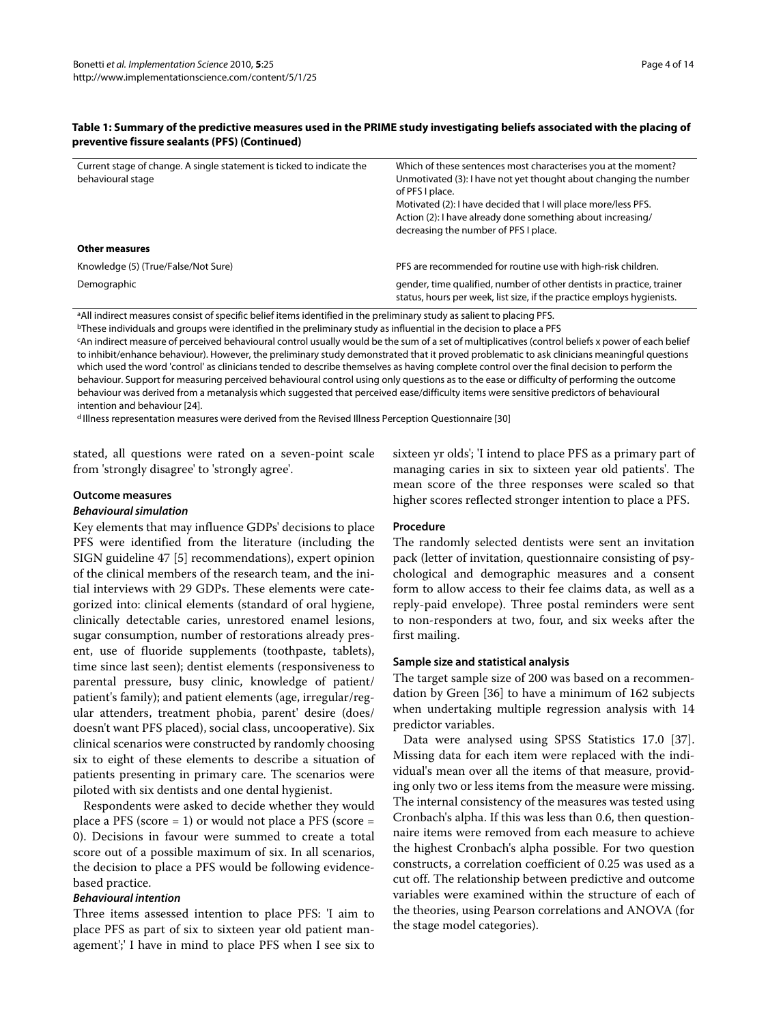#### **Table 1: Summary of the predictive measures used in the PRIME study investigating beliefs associated with the placing of preventive fissure sealants (PFS) (Continued)**

| Current stage of change. A single statement is ticked to indicate the<br>behavioural stage | Which of these sentences most characterises you at the moment?<br>Unmotivated (3): I have not yet thought about changing the number<br>of PFS I place.<br>Motivated (2): I have decided that I will place more/less PFS.<br>Action (2): I have already done something about increasing/<br>decreasing the number of PFS I place. |
|--------------------------------------------------------------------------------------------|----------------------------------------------------------------------------------------------------------------------------------------------------------------------------------------------------------------------------------------------------------------------------------------------------------------------------------|
| <b>Other measures</b>                                                                      |                                                                                                                                                                                                                                                                                                                                  |
| Knowledge (5) (True/False/Not Sure)                                                        | PFS are recommended for routine use with high-risk children.                                                                                                                                                                                                                                                                     |
| Demographic                                                                                | gender, time qualified, number of other dentists in practice, trainer<br>status, hours per week, list size, if the practice employs hygienists.                                                                                                                                                                                  |

aAll indirect measures consist of specific belief items identified in the preliminary study as salient to placing PFS.

bThese individuals and groups were identified in the preliminary study as influential in the decision to place a PFS cAn indirect measure of perceived behavioural control usually would be the sum of a set of multiplicatives (control beliefs x power of each belief to inhibit/enhance behaviour). However, the preliminary study demonstrated that it proved problematic to ask clinicians meaningful questions which used the word 'control' as clinicians tended to describe themselves as having complete control over the final decision to perform the behaviour. Support for measuring perceived behavioural control using only questions as to the ease or difficulty of performing the outcome behaviour was derived from a metanalysis which suggested that perceived ease/difficulty items were sensitive predictors of behavioural intention and behaviour [[24\]](#page-12-17).

d Illness representation measures were derived from the Revised Illness Perception Questionnaire [[30\]](#page-12-23)

stated, all questions were rated on a seven-point scale from 'strongly disagree' to 'strongly agree'.

#### **Outcome measures**

#### **Behavioural simulation**

Key elements that may influence GDPs' decisions to place PFS were identified from the literature (including the SIGN guideline 47 [[5\]](#page-12-2) recommendations), expert opinion of the clinical members of the research team, and the initial interviews with 29 GDPs. These elements were categorized into: clinical elements (standard of oral hygiene, clinically detectable caries, unrestored enamel lesions, sugar consumption, number of restorations already present, use of fluoride supplements (toothpaste, tablets), time since last seen); dentist elements (responsiveness to parental pressure, busy clinic, knowledge of patient/ patient's family); and patient elements (age, irregular/regular attenders, treatment phobia, parent' desire (does/ doesn't want PFS placed), social class, uncooperative). Six clinical scenarios were constructed by randomly choosing six to eight of these elements to describe a situation of patients presenting in primary care. The scenarios were piloted with six dentists and one dental hygienist.

Respondents were asked to decide whether they would place a PFS (score  $= 1$ ) or would not place a PFS (score  $=$ 0). Decisions in favour were summed to create a total score out of a possible maximum of six. In all scenarios, the decision to place a PFS would be following evidencebased practice.

#### **Behavioural intention**

Three items assessed intention to place PFS: 'I aim to place PFS as part of six to sixteen year old patient management';' I have in mind to place PFS when I see six to

sixteen yr olds'; 'I intend to place PFS as a primary part of managing caries in six to sixteen year old patients'. The mean score of the three responses were scaled so that higher scores reflected stronger intention to place a PFS.

#### **Procedure**

The randomly selected dentists were sent an invitation pack (letter of invitation, questionnaire consisting of psychological and demographic measures and a consent form to allow access to their fee claims data, as well as a reply-paid envelope). Three postal reminders were sent to non-responders at two, four, and six weeks after the first mailing.

#### **Sample size and statistical analysis**

The target sample size of 200 was based on a recommendation by Green [[36\]](#page-12-31) to have a minimum of 162 subjects when undertaking multiple regression analysis with 14 predictor variables.

Data were analysed using SPSS Statistics 17.0 [\[37](#page-12-32)]. Missing data for each item were replaced with the individual's mean over all the items of that measure, providing only two or less items from the measure were missing. The internal consistency of the measures was tested using Cronbach's alpha. If this was less than 0.6, then questionnaire items were removed from each measure to achieve the highest Cronbach's alpha possible. For two question constructs, a correlation coefficient of 0.25 was used as a cut off. The relationship between predictive and outcome variables were examined within the structure of each of the theories, using Pearson correlations and ANOVA (for the stage model categories).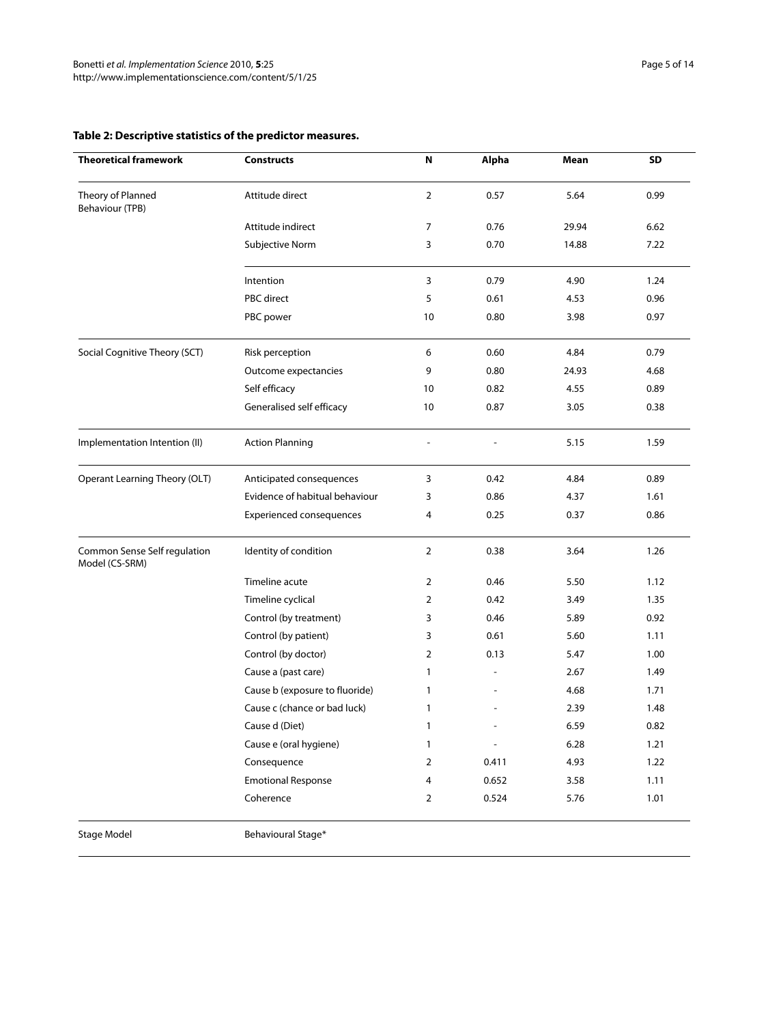| <b>Theoretical framework</b>                   | <b>Constructs</b>              | N              | <b>Alpha</b>             | Mean  | <b>SD</b> |
|------------------------------------------------|--------------------------------|----------------|--------------------------|-------|-----------|
| Theory of Planned<br>Behaviour (TPB)           | Attitude direct                | 2              | 0.57                     | 5.64  | 0.99      |
|                                                | Attitude indirect              | 7              | 0.76                     | 29.94 | 6.62      |
|                                                | <b>Subjective Norm</b>         | 3              | 0.70                     | 14.88 | 7.22      |
|                                                | Intention                      | 3              | 0.79                     | 4.90  | 1.24      |
|                                                | PBC direct                     | 5              | 0.61                     | 4.53  | 0.96      |
|                                                | PBC power                      | 10             | 0.80                     | 3.98  | 0.97      |
| Social Cognitive Theory (SCT)                  | Risk perception                | 6              | 0.60                     | 4.84  | 0.79      |
|                                                | Outcome expectancies           | 9              | 0.80                     | 24.93 | 4.68      |
|                                                | Self efficacy                  | 10             | 0.82                     | 4.55  | 0.89      |
|                                                | Generalised self efficacy      | 10             | 0.87                     | 3.05  | 0.38      |
| Implementation Intention (II)                  | <b>Action Planning</b>         |                |                          | 5.15  | 1.59      |
| Operant Learning Theory (OLT)                  | Anticipated consequences       | 3              | 0.42                     | 4.84  | 0.89      |
|                                                | Evidence of habitual behaviour | 3              | 0.86                     | 4.37  | 1.61      |
|                                                | Experienced consequences       | 4              | 0.25                     | 0.37  | 0.86      |
| Common Sense Self regulation<br>Model (CS-SRM) | Identity of condition          | $\overline{2}$ | 0.38                     | 3.64  | 1.26      |
|                                                | Timeline acute                 | $\overline{2}$ | 0.46                     | 5.50  | 1.12      |
|                                                | Timeline cyclical              | 2              | 0.42                     | 3.49  | 1.35      |
|                                                | Control (by treatment)         | 3              | 0.46                     | 5.89  | 0.92      |
|                                                | Control (by patient)           | 3              | 0.61                     | 5.60  | 1.11      |
|                                                | Control (by doctor)            | 2              | 0.13                     | 5.47  | 1.00      |
|                                                | Cause a (past care)            | 1              |                          | 2.67  | 1.49      |
|                                                | Cause b (exposure to fluoride) | 1              |                          | 4.68  | 1.71      |
|                                                | Cause c (chance or bad luck)   | 1              |                          | 2.39  | 1.48      |
|                                                | Cause d (Diet)                 | 1              |                          | 6.59  | 0.82      |
|                                                | Cause e (oral hygiene)         | $\mathbf{1}$   | $\overline{\phantom{a}}$ | 6.28  | 1.21      |
|                                                | Consequence                    | $\overline{2}$ | 0.411                    | 4.93  | 1.22      |
|                                                | <b>Emotional Response</b>      | $\overline{4}$ | 0.652                    | 3.58  | 1.11      |
|                                                | Coherence                      | $\overline{2}$ | 0.524                    | 5.76  | 1.01      |
| Stage Model                                    | Behavioural Stage*             |                |                          |       |           |

## **Table 2: Descriptive statistics of the predictor measures.**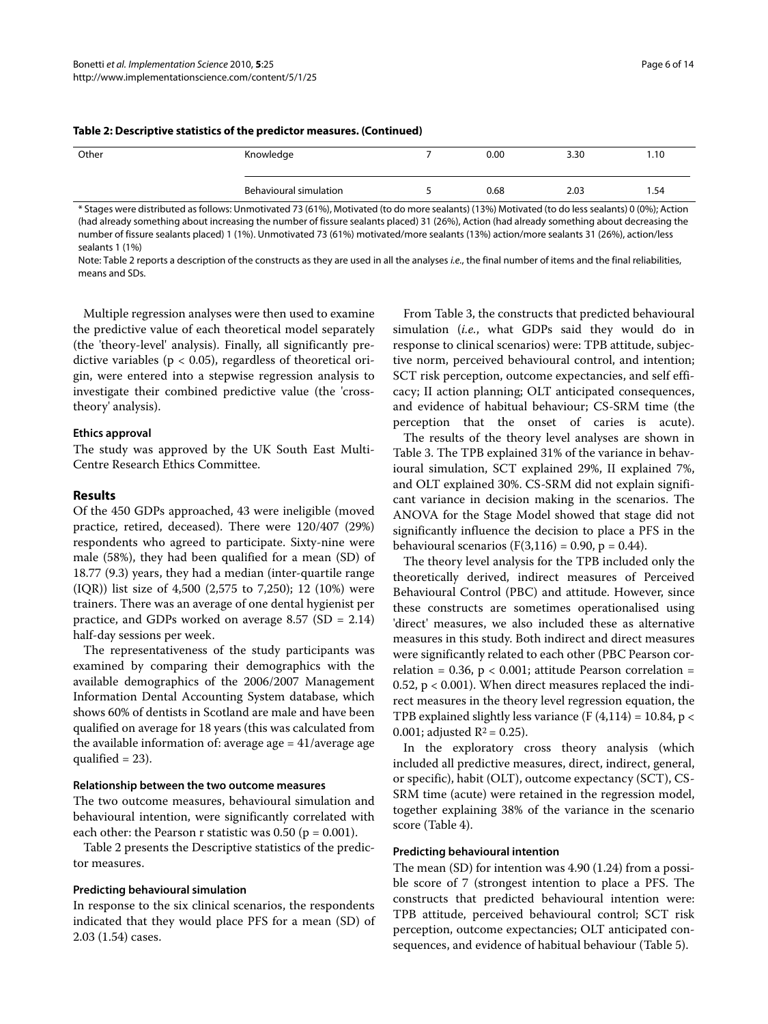| Other | Knowledge              | 0.00 | 3.30 | 1.10 |
|-------|------------------------|------|------|------|
|       | Behavioural simulation | 0.68 | 2.03 | 1.54 |

\* Stages were distributed as follows: Unmotivated 73 (61%), Motivated (to do more sealants) (13%) Motivated (to do less sealants) 0 (0%); Action (had already something about increasing the number of fissure sealants placed) 31 (26%), Action (had already something about decreasing the number of fissure sealants placed) 1 (1%). Unmotivated 73 (61%) motivated/more sealants (13%) action/more sealants 31 (26%), action/less sealants 1 (1%)

Note: Table 2 reports a description of the constructs as they are used in all the analyses *i.e.*, the final number of items and the final reliabilities, means and SDs.

Multiple regression analyses were then used to examine the predictive value of each theoretical model separately (the 'theory-level' analysis). Finally, all significantly predictive variables ( $p < 0.05$ ), regardless of theoretical origin, were entered into a stepwise regression analysis to investigate their combined predictive value (the 'crosstheory' analysis).

#### **Ethics approval**

The study was approved by the UK South East Multi-Centre Research Ethics Committee.

#### **Results**

Of the 450 GDPs approached, 43 were ineligible (moved practice, retired, deceased). There were 120/407 (29%) respondents who agreed to participate. Sixty-nine were male (58%), they had been qualified for a mean (SD) of 18.77 (9.3) years, they had a median (inter-quartile range (IQR)) list size of 4,500 (2,575 to 7,250); 12 (10%) were trainers. There was an average of one dental hygienist per practice, and GDPs worked on average 8.57 (SD =  $2.14$ ) half-day sessions per week.

The representativeness of the study participants was examined by comparing their demographics with the available demographics of the 2006/2007 Management Information Dental Accounting System database, which shows 60% of dentists in Scotland are male and have been qualified on average for 18 years (this was calculated from the available information of: average age  $= 41/average$  age qualified  $= 23$ ).

#### **Relationship between the two outcome measures**

The two outcome measures, behavioural simulation and behavioural intention, were significantly correlated with each other: the Pearson r statistic was  $0.50$  ( $p = 0.001$ ).

Table 2 presents the Descriptive statistics of the predictor measures.

#### **Predicting behavioural simulation**

In response to the six clinical scenarios, the respondents indicated that they would place PFS for a mean (SD) of 2.03 (1.54) cases.

From Table [3](#page-6-0), the constructs that predicted behavioural simulation (*i.e.*, what GDPs said they would do in response to clinical scenarios) were: TPB attitude, subjective norm, perceived behavioural control, and intention; SCT risk perception, outcome expectancies, and self efficacy; II action planning; OLT anticipated consequences, and evidence of habitual behaviour; CS-SRM time (the perception that the onset of caries is acute).

The results of the theory level analyses are shown in Table 3. The TPB explained 31% of the variance in behavioural simulation, SCT explained 29%, II explained 7%, and OLT explained 30%. CS-SRM did not explain significant variance in decision making in the scenarios. The ANOVA for the Stage Model showed that stage did not significantly influence the decision to place a PFS in the behavioural scenarios ( $F(3,116) = 0.90$ ,  $p = 0.44$ ).

The theory level analysis for the TPB included only the theoretically derived, indirect measures of Perceived Behavioural Control (PBC) and attitude. However, since these constructs are sometimes operationalised using 'direct' measures, we also included these as alternative measures in this study. Both indirect and direct measures were significantly related to each other (PBC Pearson correlation =  $0.36$ , p <  $0.001$ ; attitude Pearson correlation = 0.52, p < 0.001). When direct measures replaced the indirect measures in the theory level regression equation, the TPB explained slightly less variance (F  $(4,114) = 10.84$ , p < 0.001; adjusted  $R^2 = 0.25$ ).

In the exploratory cross theory analysis (which included all predictive measures, direct, indirect, general, or specific), habit (OLT), outcome expectancy (SCT), CS-SRM time (acute) were retained in the regression model, together explaining 38% of the variance in the scenario score (Table [4](#page-7-0)).

#### **Predicting behavioural intention**

The mean (SD) for intention was 4.90 (1.24) from a possible score of 7 (strongest intention to place a PFS. The constructs that predicted behavioural intention were: TPB attitude, perceived behavioural control; SCT risk perception, outcome expectancies; OLT anticipated consequences, and evidence of habitual behaviour (Table 5).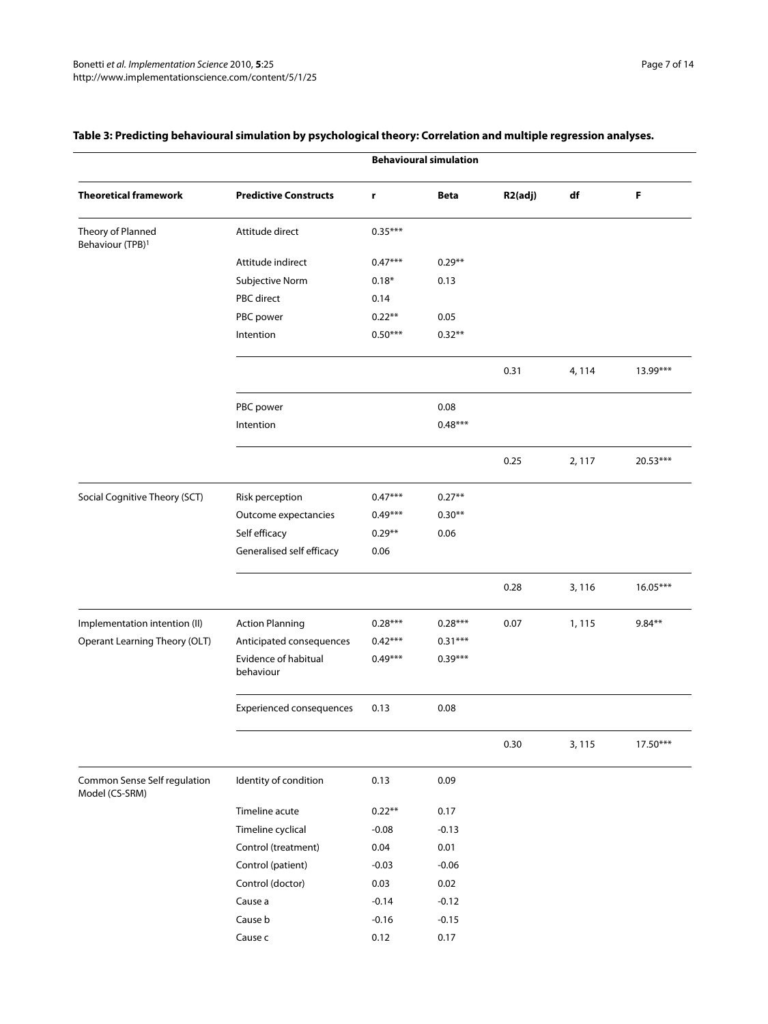|                                                   |                                   |           | <b>Behavioural simulation</b> |                      |        |            |
|---------------------------------------------------|-----------------------------------|-----------|-------------------------------|----------------------|--------|------------|
| <b>Theoretical framework</b>                      | <b>Predictive Constructs</b>      | r         | <b>Beta</b>                   | R <sub>2</sub> (adj) | df     | F          |
| Theory of Planned<br>Behaviour (TPB) <sup>1</sup> | Attitude direct                   | $0.35***$ |                               |                      |        |            |
|                                                   | Attitude indirect                 | $0.47***$ | $0.29**$                      |                      |        |            |
|                                                   | Subjective Norm                   | $0.18*$   | 0.13                          |                      |        |            |
|                                                   | PBC direct                        | 0.14      |                               |                      |        |            |
|                                                   | PBC power                         | $0.22**$  | 0.05                          |                      |        |            |
|                                                   | Intention                         | $0.50***$ | $0.32**$                      |                      |        |            |
|                                                   |                                   |           |                               | 0.31                 | 4,114  | 13.99***   |
|                                                   | PBC power                         |           | 0.08                          |                      |        |            |
|                                                   | Intention                         |           | $0.48***$                     |                      |        |            |
|                                                   |                                   |           |                               | 0.25                 | 2, 117 | 20.53***   |
| Social Cognitive Theory (SCT)                     | Risk perception                   | $0.47***$ | $0.27**$                      |                      |        |            |
|                                                   | Outcome expectancies              | $0.49***$ | $0.30**$                      |                      |        |            |
|                                                   | Self efficacy                     | $0.29**$  | 0.06                          |                      |        |            |
|                                                   | Generalised self efficacy         | 0.06      |                               |                      |        |            |
|                                                   |                                   |           |                               | 0.28                 | 3,116  | $16.05***$ |
| Implementation intention (II)                     | <b>Action Planning</b>            | $0.28***$ | $0.28***$                     | 0.07                 | 1, 115 | $9.84**$   |
| Operant Learning Theory (OLT)                     | Anticipated consequences          | $0.42***$ | $0.31***$                     |                      |        |            |
|                                                   | Evidence of habitual<br>behaviour | $0.49***$ | $0.39***$                     |                      |        |            |
|                                                   | <b>Experienced consequences</b>   | 0.13      | 0.08                          |                      |        |            |
|                                                   |                                   |           |                               | 0.30                 | 3, 115 | 17.50***   |
| Common Sense Self regulation<br>Model (CS-SRM)    | Identity of condition             | 0.13      | 0.09                          |                      |        |            |
|                                                   | Timeline acute                    | $0.22**$  | 0.17                          |                      |        |            |
|                                                   | Timeline cyclical                 | $-0.08$   | $-0.13$                       |                      |        |            |
|                                                   | Control (treatment)               | 0.04      | 0.01                          |                      |        |            |
|                                                   | Control (patient)                 | $-0.03$   | $-0.06$                       |                      |        |            |
|                                                   | Control (doctor)                  | 0.03      | 0.02                          |                      |        |            |
|                                                   | Cause a                           | $-0.14$   | $-0.12$                       |                      |        |            |
|                                                   | Cause b                           | $-0.16$   | $-0.15$                       |                      |        |            |
|                                                   | Cause c                           | 0.12      | 0.17                          |                      |        |            |

## <span id="page-6-0"></span>**Table 3: Predicting behavioural simulation by psychological theory: Correlation and multiple regression analyses.**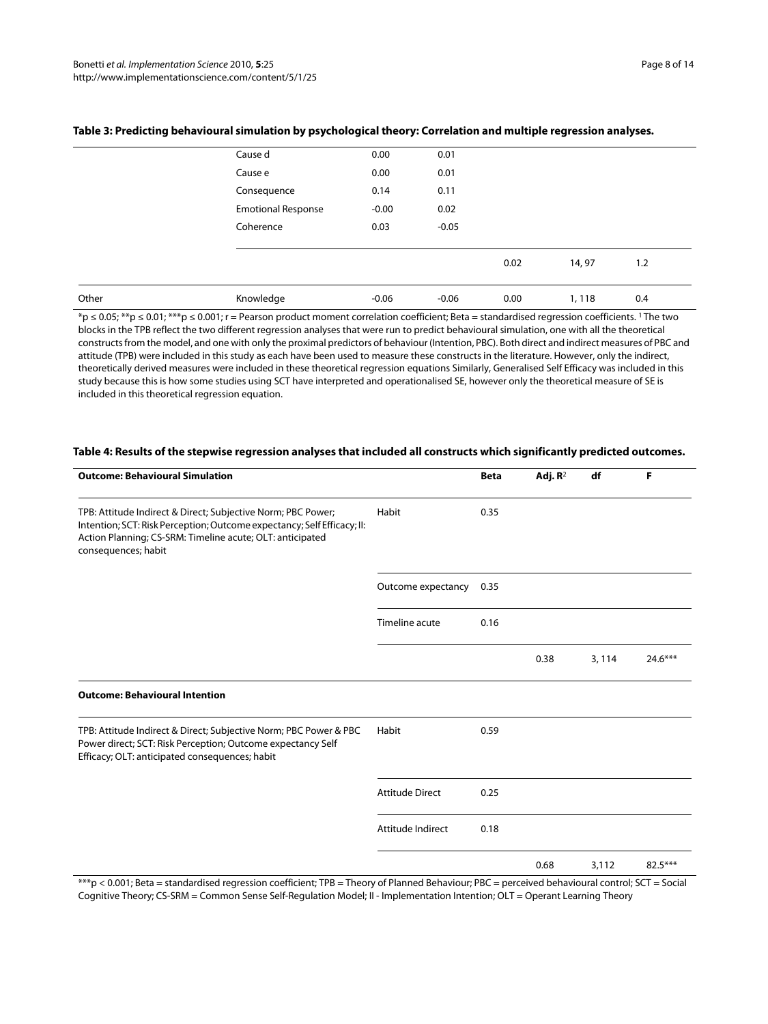|       | Cause d                   | 0.00    | 0.01    |      |        |     |
|-------|---------------------------|---------|---------|------|--------|-----|
|       | Cause e                   | 0.00    | 0.01    |      |        |     |
|       | Consequence               | 0.14    | 0.11    |      |        |     |
|       | <b>Emotional Response</b> | $-0.00$ | 0.02    |      |        |     |
|       | Coherence                 | 0.03    | $-0.05$ |      |        |     |
|       |                           |         |         |      |        |     |
|       |                           |         |         | 0.02 | 14, 97 | 1.2 |
|       |                           |         |         |      |        |     |
| Other | Knowledge                 | $-0.06$ | $-0.06$ | 0.00 | 1,118  | 0.4 |

## **Table 3: Predicting behavioural simulation by psychological theory: Correlation and multiple regression analyses.**

\*p ≤ 0.05; \*\*p ≤ 0.01; \*\*\*p ≤ 0.001; r = Pearson product moment correlation coefficient; Beta = standardised regression coefficients. 1 The two blocks in the TPB reflect the two different regression analyses that were run to predict behavioural simulation, one with all the theoretical constructs from the model, and one with only the proximal predictors of behaviour (Intention, PBC). Both direct and indirect measures of PBC and attitude (TPB) were included in this study as each have been used to measure these constructs in the literature. However, only the indirect, theoretically derived measures were included in these theoretical regression equations Similarly, Generalised Self Efficacy was included in this study because this is how some studies using SCT have interpreted and operationalised SE, however only the theoretical measure of SE is included in this theoretical regression equation.

#### <span id="page-7-0"></span>**Table 4: Results of the stepwise regression analyses that included all constructs which significantly predicted outcomes.**

| <b>Outcome: Behavioural Simulation</b>                                                                                                                                                                                      |                        | <b>Beta</b>                           | Adj. $\mathbb{R}^2$ | df     | F         |
|-----------------------------------------------------------------------------------------------------------------------------------------------------------------------------------------------------------------------------|------------------------|---------------------------------------|---------------------|--------|-----------|
| TPB: Attitude Indirect & Direct; Subjective Norm; PBC Power;<br>Intention; SCT: Risk Perception; Outcome expectancy; Self Efficacy; II:<br>Action Planning; CS-SRM: Timeline acute; OLT: anticipated<br>consequences; habit | Habit                  | 0.35                                  |                     |        |           |
|                                                                                                                                                                                                                             | Outcome expectancy     | 0.35                                  |                     |        |           |
|                                                                                                                                                                                                                             | Timeline acute         | 0.16                                  |                     |        |           |
|                                                                                                                                                                                                                             |                        |                                       | 0.38                | 3, 114 | 24.6***   |
| <b>Outcome: Behavioural Intention</b>                                                                                                                                                                                       |                        |                                       |                     |        |           |
| TPB: Attitude Indirect & Direct; Subjective Norm; PBC Power & PBC<br>Power direct; SCT: Risk Perception; Outcome expectancy Self<br>Efficacy; OLT: anticipated consequences; habit                                          | Habit                  | 0.59<br>0.25<br>0.18<br>0.68<br>3,112 |                     |        |           |
|                                                                                                                                                                                                                             | <b>Attitude Direct</b> |                                       |                     |        |           |
|                                                                                                                                                                                                                             | Attitude Indirect      |                                       |                     |        |           |
|                                                                                                                                                                                                                             |                        |                                       |                     |        | $82.5***$ |

\*\*\*p < 0.001; Beta = standardised regression coefficient; TPB = Theory of Planned Behaviour; PBC = perceived behavioural control; SCT = Social Cognitive Theory; CS-SRM = Common Sense Self-Regulation Model; II - Implementation Intention; OLT = Operant Learning Theory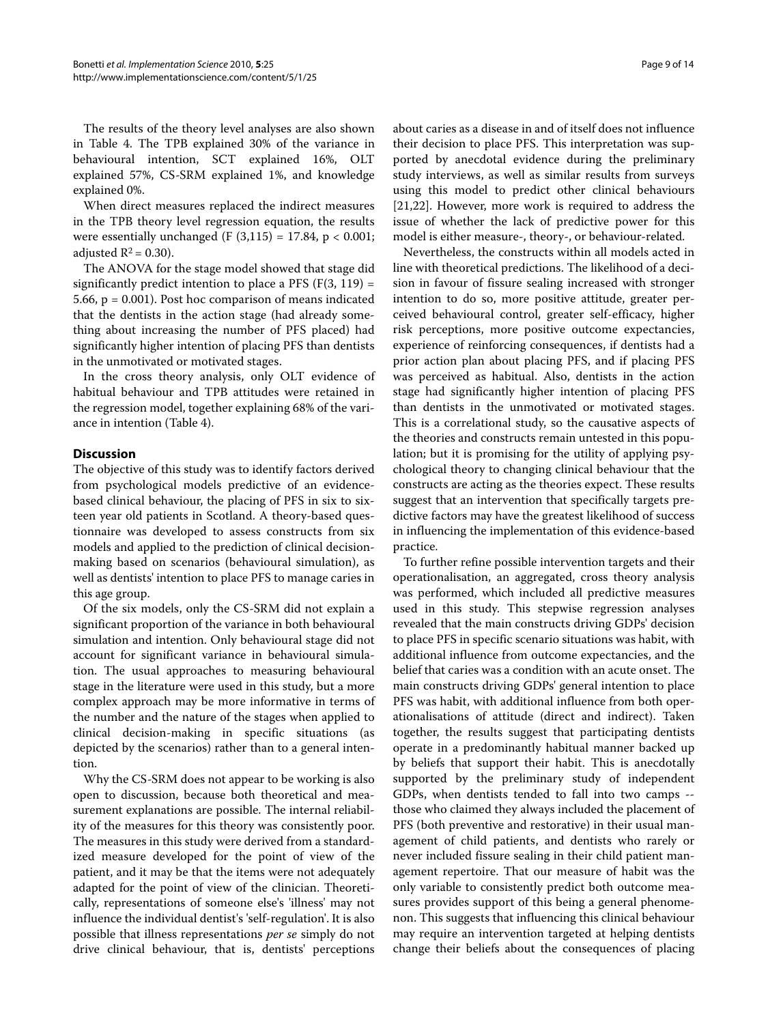When direct measures replaced the indirect measures in the TPB theory level regression equation, the results were essentially unchanged (F  $(3,115) = 17.84$ , p < 0.001; adjusted  $R^2$  = 0.30).

The ANOVA for the stage model showed that stage did significantly predict intention to place a PFS  $(F(3, 119) =$ 5.66,  $p = 0.001$ ). Post hoc comparison of means indicated that the dentists in the action stage (had already something about increasing the number of PFS placed) had significantly higher intention of placing PFS than dentists in the unmotivated or motivated stages.

In the cross theory analysis, only OLT evidence of habitual behaviour and TPB attitudes were retained in the regression model, together explaining 68% of the variance in intention (Table 4).

#### **Discussion**

The objective of this study was to identify factors derived from psychological models predictive of an evidencebased clinical behaviour, the placing of PFS in six to sixteen year old patients in Scotland. A theory-based questionnaire was developed to assess constructs from six models and applied to the prediction of clinical decisionmaking based on scenarios (behavioural simulation), as well as dentists' intention to place PFS to manage caries in this age group.

Of the six models, only the CS-SRM did not explain a significant proportion of the variance in both behavioural simulation and intention. Only behavioural stage did not account for significant variance in behavioural simulation. The usual approaches to measuring behavioural stage in the literature were used in this study, but a more complex approach may be more informative in terms of the number and the nature of the stages when applied to clinical decision-making in specific situations (as depicted by the scenarios) rather than to a general intention.

Why the CS-SRM does not appear to be working is also open to discussion, because both theoretical and measurement explanations are possible. The internal reliability of the measures for this theory was consistently poor. The measures in this study were derived from a standardized measure developed for the point of view of the patient, and it may be that the items were not adequately adapted for the point of view of the clinician. Theoretically, representations of someone else's 'illness' may not influence the individual dentist's 'self-regulation'. It is also possible that illness representations *per se* simply do not drive clinical behaviour, that is, dentists' perceptions

about caries as a disease in and of itself does not influence their decision to place PFS. This interpretation was supported by anecdotal evidence during the preliminary study interviews, as well as similar results from surveys using this model to predict other clinical behaviours [[21,](#page-12-27)[22\]](#page-12-15). However, more work is required to address the issue of whether the lack of predictive power for this model is either measure-, theory-, or behaviour-related.

Nevertheless, the constructs within all models acted in line with theoretical predictions. The likelihood of a decision in favour of fissure sealing increased with stronger intention to do so, more positive attitude, greater perceived behavioural control, greater self-efficacy, higher risk perceptions, more positive outcome expectancies, experience of reinforcing consequences, if dentists had a prior action plan about placing PFS, and if placing PFS was perceived as habitual. Also, dentists in the action stage had significantly higher intention of placing PFS than dentists in the unmotivated or motivated stages. This is a correlational study, so the causative aspects of the theories and constructs remain untested in this population; but it is promising for the utility of applying psychological theory to changing clinical behaviour that the constructs are acting as the theories expect. These results suggest that an intervention that specifically targets predictive factors may have the greatest likelihood of success in influencing the implementation of this evidence-based practice.

To further refine possible intervention targets and their operationalisation, an aggregated, cross theory analysis was performed, which included all predictive measures used in this study. This stepwise regression analyses revealed that the main constructs driving GDPs' decision to place PFS in specific scenario situations was habit, with additional influence from outcome expectancies, and the belief that caries was a condition with an acute onset. The main constructs driving GDPs' general intention to place PFS was habit, with additional influence from both operationalisations of attitude (direct and indirect). Taken together, the results suggest that participating dentists operate in a predominantly habitual manner backed up by beliefs that support their habit. This is anecdotally supported by the preliminary study of independent GDPs, when dentists tended to fall into two camps - those who claimed they always included the placement of PFS (both preventive and restorative) in their usual management of child patients, and dentists who rarely or never included fissure sealing in their child patient management repertoire. That our measure of habit was the only variable to consistently predict both outcome measures provides support of this being a general phenomenon. This suggests that influencing this clinical behaviour may require an intervention targeted at helping dentists change their beliefs about the consequences of placing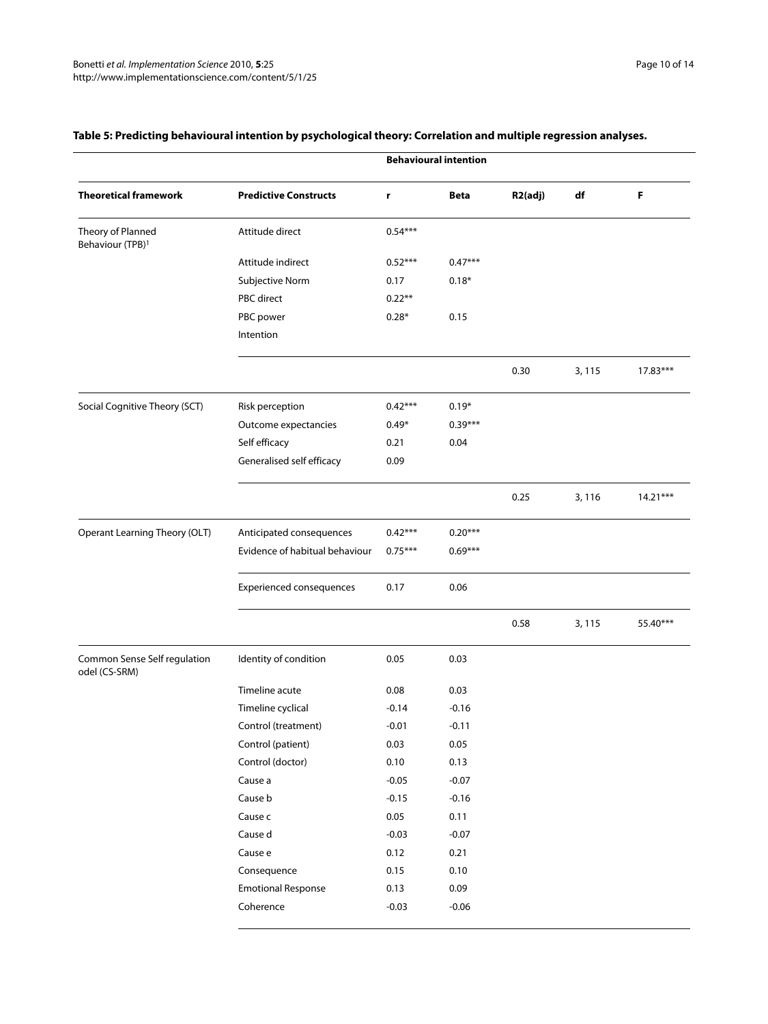| <b>Theoretical framework</b><br>Theory of Planned<br>Behaviour (TPB) <sup>1</sup><br>Social Cognitive Theory (SCT)<br>Operant Learning Theory (OLT)<br>Common Sense Self regulation<br>odel (CS-SRM) |                                | <b>Behavioural intention</b> |             |                      |        |            |  |
|------------------------------------------------------------------------------------------------------------------------------------------------------------------------------------------------------|--------------------------------|------------------------------|-------------|----------------------|--------|------------|--|
|                                                                                                                                                                                                      | <b>Predictive Constructs</b>   | r                            | <b>Beta</b> | R <sub>2</sub> (adj) | df     | F          |  |
|                                                                                                                                                                                                      | Attitude direct                | $0.54***$                    |             |                      |        |            |  |
|                                                                                                                                                                                                      | Attitude indirect              | $0.52***$                    | $0.47***$   |                      |        |            |  |
|                                                                                                                                                                                                      | Subjective Norm                | 0.17                         | $0.18*$     |                      |        |            |  |
|                                                                                                                                                                                                      | <b>PBC</b> direct              | $0.22**$                     |             |                      |        |            |  |
|                                                                                                                                                                                                      | PBC power                      | $0.28*$                      | 0.15        |                      |        |            |  |
|                                                                                                                                                                                                      | Intention                      |                              |             |                      |        |            |  |
|                                                                                                                                                                                                      |                                |                              |             | 0.30                 | 3, 115 | $17.83***$ |  |
|                                                                                                                                                                                                      | Risk perception                | $0.42***$                    | $0.19*$     |                      |        |            |  |
|                                                                                                                                                                                                      | Outcome expectancies           | $0.49*$                      | $0.39***$   |                      |        |            |  |
|                                                                                                                                                                                                      | Self efficacy                  | 0.21                         | 0.04        |                      |        |            |  |
|                                                                                                                                                                                                      | Generalised self efficacy      | 0.09                         |             |                      |        |            |  |
|                                                                                                                                                                                                      |                                |                              |             | 0.25                 | 3, 116 | $14.21***$ |  |
|                                                                                                                                                                                                      | Anticipated consequences       | $0.42***$                    | $0.20***$   |                      |        |            |  |
|                                                                                                                                                                                                      | Evidence of habitual behaviour | $0.75***$                    | $0.69***$   |                      |        |            |  |
|                                                                                                                                                                                                      | Experienced consequences       | 0.17                         | 0.06        |                      |        |            |  |
|                                                                                                                                                                                                      |                                |                              |             | 0.58                 | 3, 115 | 55.40***   |  |
|                                                                                                                                                                                                      | Identity of condition          | 0.05                         | 0.03        |                      |        |            |  |
|                                                                                                                                                                                                      | Timeline acute                 | 0.08                         | 0.03        |                      |        |            |  |
|                                                                                                                                                                                                      | Timeline cyclical              | $-0.14$                      | $-0.16$     |                      |        |            |  |
|                                                                                                                                                                                                      | Control (treatment)            | $-0.01$                      | $-0.11$     |                      |        |            |  |
|                                                                                                                                                                                                      | Control (patient)              | 0.03                         | 0.05        |                      |        |            |  |
|                                                                                                                                                                                                      | Control (doctor)               | 0.10                         | 0.13        |                      |        |            |  |
|                                                                                                                                                                                                      | Cause a                        | $-0.05$                      | $-0.07$     |                      |        |            |  |
|                                                                                                                                                                                                      | Cause b                        | $-0.15$                      | $-0.16$     |                      |        |            |  |
|                                                                                                                                                                                                      | Cause c                        | 0.05                         | 0.11        |                      |        |            |  |
|                                                                                                                                                                                                      | Cause d                        | $-0.03$                      | $-0.07$     |                      |        |            |  |
|                                                                                                                                                                                                      | Cause e                        | 0.12                         | 0.21        |                      |        |            |  |
|                                                                                                                                                                                                      | Consequence                    | 0.15                         | 0.10        |                      |        |            |  |
|                                                                                                                                                                                                      | <b>Emotional Response</b>      | 0.13                         | 0.09        |                      |        |            |  |
|                                                                                                                                                                                                      | Coherence                      | $-0.03$                      | $-0.06$     |                      |        |            |  |

## **Table 5: Predicting behavioural intention by psychological theory: Correlation and multiple regression analyses.**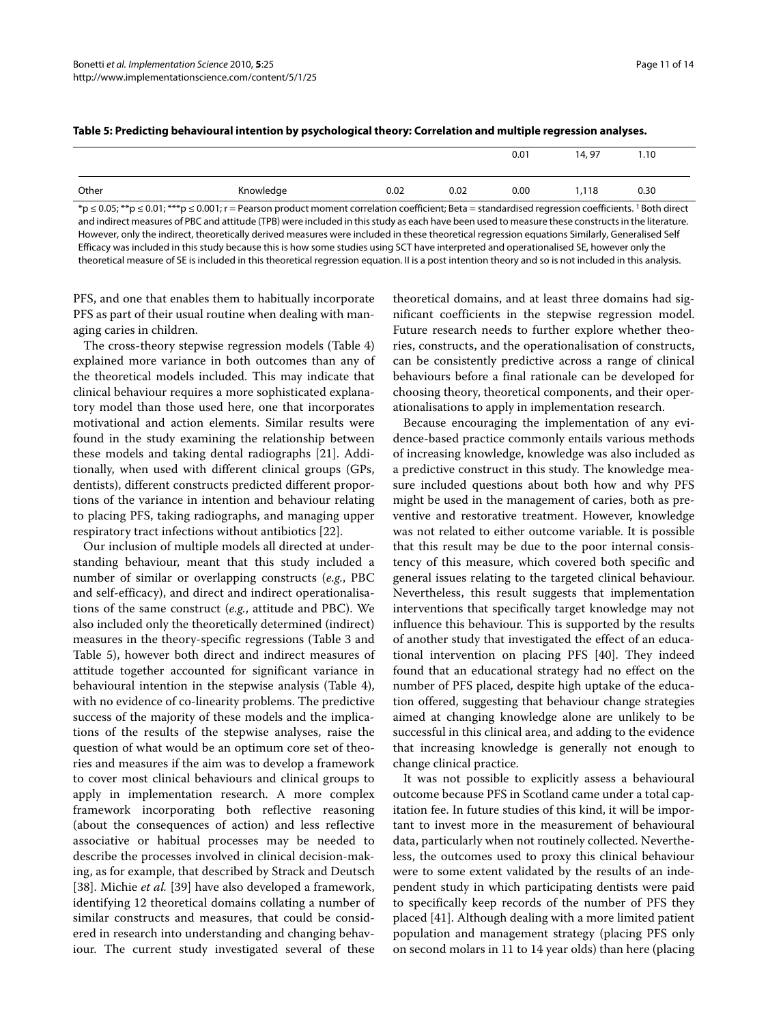| A COOL AL COOL ANAL COOL DILLING COLLECTION COOLER COOLER COOL DILLING COOLIGING INCORPORATION COOLER IDEAL INC. |           |      |      |      |        |      |  |
|------------------------------------------------------------------------------------------------------------------|-----------|------|------|------|--------|------|--|
| Other                                                                                                            | Knowledge | 0.02 | 0.02 | 0.00 | 1,118  | 0.30 |  |
|                                                                                                                  |           |      |      | 0.01 | 14, 97 | 1.10 |  |
|                                                                                                                  |           |      |      |      |        |      |  |

| Table 5: Predicting behavioural intention by psychological theory: Correlation and multiple regression analyses. |  |  |  |  |
|------------------------------------------------------------------------------------------------------------------|--|--|--|--|
|                                                                                                                  |  |  |  |  |

\*p ≤ 0.05; \*\*p ≤ 0.01; \*\*\*p ≤ 0.001; r = Pearson product moment correlation coefficient; Beta = standardised regression coefficients. 1 Both direct and indirect measures of PBC and attitude (TPB) were included in this study as each have been used to measure these constructs in the literature. However, only the indirect, theoretically derived measures were included in these theoretical regression equations Similarly, Generalised Self Efficacy was included in this study because this is how some studies using SCT have interpreted and operationalised SE, however only the theoretical measure of SE is included in this theoretical regression equation. II is a post intention theory and so is not included in this analysis.

PFS, and one that enables them to habitually incorporate PFS as part of their usual routine when dealing with managing caries in children.

The cross-theory stepwise regression models (Table [4](#page-7-0)) explained more variance in both outcomes than any of the theoretical models included. This may indicate that clinical behaviour requires a more sophisticated explanatory model than those used here, one that incorporates motivational and action elements. Similar results were found in the study examining the relationship between these models and taking dental radiographs [[21\]](#page-12-27). Additionally, when used with different clinical groups (GPs, dentists), different constructs predicted different proportions of the variance in intention and behaviour relating to placing PFS, taking radiographs, and managing upper respiratory tract infections without antibiotics [[22](#page-12-15)].

Our inclusion of multiple models all directed at understanding behaviour, meant that this study included a number of similar or overlapping constructs (*e.g.*, PBC and self-efficacy), and direct and indirect operationalisations of the same construct (*e.g.*, attitude and PBC). We also included only the theoretically determined (indirect) measures in the theory-specific regressions (Table [3](#page-6-0) and Table 5), however both direct and indirect measures of attitude together accounted for significant variance in behavioural intention in the stepwise analysis (Table 4), with no evidence of co-linearity problems. The predictive success of the majority of these models and the implications of the results of the stepwise analyses, raise the question of what would be an optimum core set of theories and measures if the aim was to develop a framework to cover most clinical behaviours and clinical groups to apply in implementation research. A more complex framework incorporating both reflective reasoning (about the consequences of action) and less reflective associative or habitual processes may be needed to describe the processes involved in clinical decision-making, as for example, that described by Strack and Deutsch [[38\]](#page-12-33). Michie *et al.* [\[39](#page-13-0)] have also developed a framework, identifying 12 theoretical domains collating a number of similar constructs and measures, that could be considered in research into understanding and changing behaviour. The current study investigated several of these

theoretical domains, and at least three domains had significant coefficients in the stepwise regression model. Future research needs to further explore whether theories, constructs, and the operationalisation of constructs, can be consistently predictive across a range of clinical behaviours before a final rationale can be developed for choosing theory, theoretical components, and their operationalisations to apply in implementation research.

Because encouraging the implementation of any evidence-based practice commonly entails various methods of increasing knowledge, knowledge was also included as a predictive construct in this study. The knowledge measure included questions about both how and why PFS might be used in the management of caries, both as preventive and restorative treatment. However, knowledge was not related to either outcome variable. It is possible that this result may be due to the poor internal consistency of this measure, which covered both specific and general issues relating to the targeted clinical behaviour. Nevertheless, this result suggests that implementation interventions that specifically target knowledge may not influence this behaviour. This is supported by the results of another study that investigated the effect of an educational intervention on placing PFS [\[40](#page-13-1)]. They indeed found that an educational strategy had no effect on the number of PFS placed, despite high uptake of the education offered, suggesting that behaviour change strategies aimed at changing knowledge alone are unlikely to be successful in this clinical area, and adding to the evidence that increasing knowledge is generally not enough to change clinical practice.

It was not possible to explicitly assess a behavioural outcome because PFS in Scotland came under a total capitation fee. In future studies of this kind, it will be important to invest more in the measurement of behavioural data, particularly when not routinely collected. Nevertheless, the outcomes used to proxy this clinical behaviour were to some extent validated by the results of an independent study in which participating dentists were paid to specifically keep records of the number of PFS they placed [[41\]](#page-13-2). Although dealing with a more limited patient population and management strategy (placing PFS only on second molars in 11 to 14 year olds) than here (placing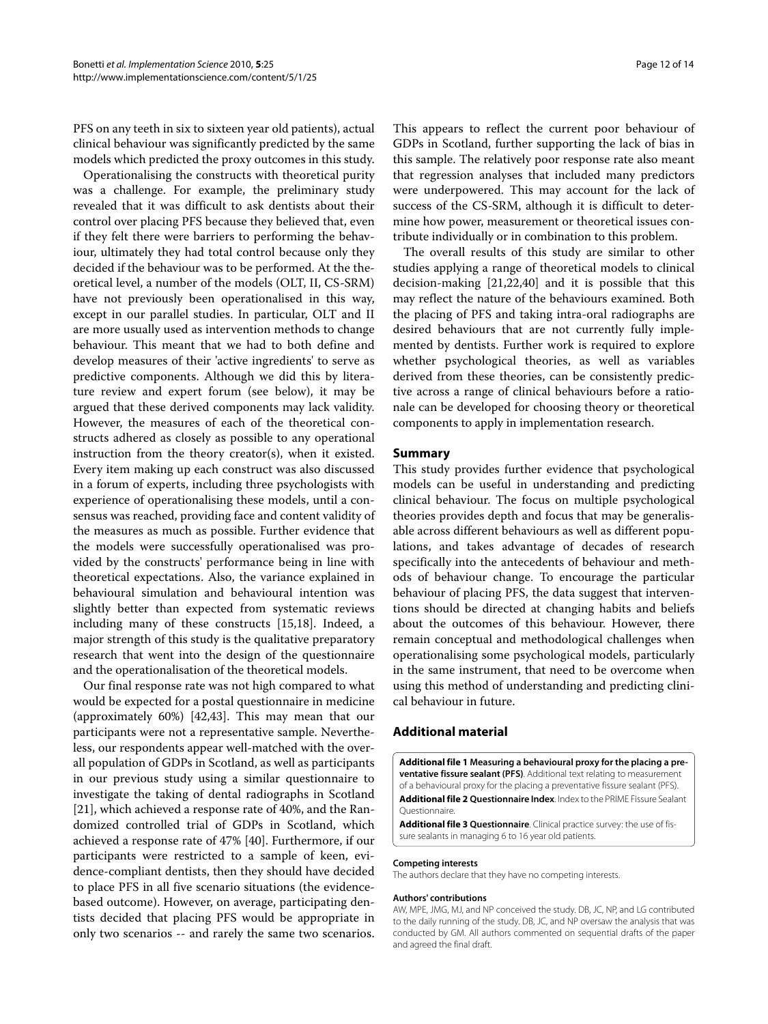PFS on any teeth in six to sixteen year old patients), actual clinical behaviour was significantly predicted by the same models which predicted the proxy outcomes in this study.

Operationalising the constructs with theoretical purity was a challenge. For example, the preliminary study revealed that it was difficult to ask dentists about their control over placing PFS because they believed that, even if they felt there were barriers to performing the behaviour, ultimately they had total control because only they decided if the behaviour was to be performed. At the theoretical level, a number of the models (OLT, II, CS-SRM) have not previously been operationalised in this way, except in our parallel studies. In particular, OLT and II are more usually used as intervention methods to change behaviour. This meant that we had to both define and develop measures of their 'active ingredients' to serve as predictive components. Although we did this by literature review and expert forum (see below), it may be argued that these derived components may lack validity. However, the measures of each of the theoretical constructs adhered as closely as possible to any operational instruction from the theory creator(s), when it existed. Every item making up each construct was also discussed in a forum of experts, including three psychologists with experience of operationalising these models, until a consensus was reached, providing face and content validity of the measures as much as possible. Further evidence that the models were successfully operationalised was provided by the constructs' performance being in line with theoretical expectations. Also, the variance explained in behavioural simulation and behavioural intention was slightly better than expected from systematic reviews including many of these constructs [[15,](#page-12-10)[18\]](#page-12-12). Indeed, a major strength of this study is the qualitative preparatory research that went into the design of the questionnaire and the operationalisation of the theoretical models.

Our final response rate was not high compared to what would be expected for a postal questionnaire in medicine (approximately 60%) [[42,](#page-13-3)[43\]](#page-13-4). This may mean that our participants were not a representative sample. Nevertheless, our respondents appear well-matched with the overall population of GDPs in Scotland, as well as participants in our previous study using a similar questionnaire to investigate the taking of dental radiographs in Scotland [[21\]](#page-12-27), which achieved a response rate of 40%, and the Randomized controlled trial of GDPs in Scotland, which achieved a response rate of 47% [[40\]](#page-13-1). Furthermore, if our participants were restricted to a sample of keen, evidence-compliant dentists, then they should have decided to place PFS in all five scenario situations (the evidencebased outcome). However, on average, participating dentists decided that placing PFS would be appropriate in only two scenarios -- and rarely the same two scenarios.

This appears to reflect the current poor behaviour of GDPs in Scotland, further supporting the lack of bias in this sample. The relatively poor response rate also meant that regression analyses that included many predictors were underpowered. This may account for the lack of success of the CS-SRM, although it is difficult to determine how power, measurement or theoretical issues contribute individually or in combination to this problem.

The overall results of this study are similar to other studies applying a range of theoretical models to clinical decision-making [[21,](#page-12-27)[22,](#page-12-15)[40\]](#page-13-1) and it is possible that this may reflect the nature of the behaviours examined. Both the placing of PFS and taking intra-oral radiographs are desired behaviours that are not currently fully implemented by dentists. Further work is required to explore whether psychological theories, as well as variables derived from these theories, can be consistently predictive across a range of clinical behaviours before a rationale can be developed for choosing theory or theoretical components to apply in implementation research.

#### **Summary**

This study provides further evidence that psychological models can be useful in understanding and predicting clinical behaviour. The focus on multiple psychological theories provides depth and focus that may be generalisable across different behaviours as well as different populations, and takes advantage of decades of research specifically into the antecedents of behaviour and methods of behaviour change. To encourage the particular behaviour of placing PFS, the data suggest that interventions should be directed at changing habits and beliefs about the outcomes of this behaviour. However, there remain conceptual and methodological challenges when operationalising some psychological models, particularly in the same instrument, that need to be overcome when using this method of understanding and predicting clinical behaviour in future.

#### **Additional material**

<span id="page-11-0"></span>**[Additional file 1](http://www.biomedcentral.com/content/supplementary/1748-5908-5-25-S1.DOC) Measuring a behavioural proxy for the placing a preventative fissure sealant (PFS)**. Additional text relating to measurement of a behavioural proxy for the placing a preventative fissure sealant (PFS). **[Additional file 2](http://www.biomedcentral.com/content/supplementary/1748-5908-5-25-S2.DOC) Questionnaire Index**. Index to the PRIME Fissure Sealant **Ouestionnaire** 

<span id="page-11-2"></span><span id="page-11-1"></span>**[Additional file 3](http://www.biomedcentral.com/content/supplementary/1748-5908-5-25-S3.DOC) Questionnaire**. Clinical practice survey: the use of fissure sealants in managing 6 to 16 year old patients.

#### **Competing interests**

The authors declare that they have no competing interests.

#### **Authors' contributions**

AW, MPE, JMG, MJ, and NP conceived the study. DB, JC, NP, and LG contributed to the daily running of the study. DB, JC, and NP oversaw the analysis that was conducted by GM. All authors commented on sequential drafts of the paper and agreed the final draft.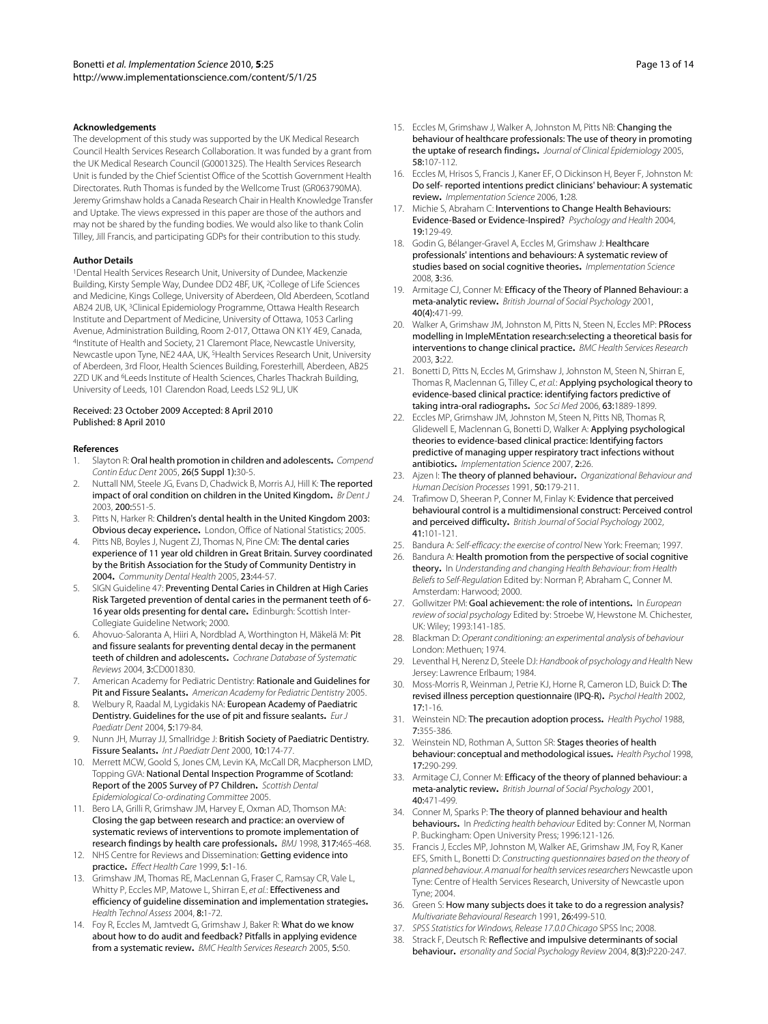#### **Acknowledgements**

The development of this study was supported by the UK Medical Research Council Health Services Research Collaboration. It was funded by a grant from the UK Medical Research Council (G0001325). The Health Services Research Unit is funded by the Chief Scientist Office of the Scottish Government Health Directorates. Ruth Thomas is funded by the Wellcome Trust (GR063790MA). Jeremy Grimshaw holds a Canada Research Chair in Health Knowledge Transfer and Uptake. The views expressed in this paper are those of the authors and may not be shared by the funding bodies. We would also like to thank Colin Tilley, Jill Francis, and participating GDPs for their contribution to this study.

#### **Author Details**

1Dental Health Services Research Unit, University of Dundee, Mackenzie Building, Kirsty Semple Way, Dundee DD2 4BF, UK, 2College of Life Sciences and Medicine, Kings College, University of Aberdeen, Old Aberdeen, Scotland AB24 2UB, UK, 3Clinical Epidemiology Programme, Ottawa Health Research Institute and Department of Medicine, University of Ottawa, 1053 Carling Avenue, Administration Building, Room 2-017, Ottawa ON K1Y 4E9, Canada, 4Institute of Health and Society, 21 Claremont Place, Newcastle University, Newcastle upon Tyne, NE2 4AA, UK, 5Health Services Research Unit, University of Aberdeen, 3rd Floor, Health Sciences Building, Foresterhill, Aberdeen, AB25 2ZD UK and <sup>6</sup>Leeds Institute of Health Sciences, Charles Thackrah Building, University of Leeds, 101 Clarendon Road, Leeds LS2 9LJ, UK

#### Received: 23 October 2009 Accepted: 8 April 2010 Published: 8 April 2010

#### **References**

- <span id="page-12-0"></span>1. Slayton R: Oral health promotion in children and adolescents**.** Compend Contin Educ Dent 2005, 26(5 Suppl 1):30-5.
- Nuttall NM, Steele JG, Evans D, Chadwick B, Morris AJ, Hill K: The reported impact of oral condition on children in the United Kingdom**.** Br Dent J 2003, 200:551-5.
- 3. Pitts N, Harker R: Children's dental health in the United Kingdom 2003: Obvious decay experience**.** London, Office of National Statistics; 2005.
- <span id="page-12-1"></span>Pitts NB, Boyles J, Nugent ZJ, Thomas N, Pine CM: The dental caries experience of 11 year old children in Great Britain. Survey coordinated by the British Association for the Study of Community Dentistry in 2004**.** Community Dental Health 2005, 23:44-57.
- <span id="page-12-2"></span>5. SIGN Guideline 47: Preventing Dental Caries in Children at High Caries Risk Targeted prevention of dental caries in the permanent teeth of 6- 16 year olds presenting for dental care**.** Edinburgh: Scottish Inter-Collegiate Guideline Network; 2000.
- <span id="page-12-3"></span>6. Ahovuo-Saloranta A, Hiiri A, Nordblad A, Worthington H, Mäkelä M: Pit and fissure sealants for preventing dental decay in the permanent teeth of children and adolescents**.** Cochrane Database of Systematic Reviews 2004, 3:CD001830.
- <span id="page-12-4"></span>7. American Academy for Pediatric Dentistry: Rationale and Guidelines for Pit and Fissure Sealants**.** American Academy for Pediatric Dentistry 2005.
- 8. Welbury R, Raadal M, Lygidakis NA: European Academy of Paediatric Dentistry. Guidelines for the use of pit and fissure sealants**.** Eur J Paediatr Dent 2004, 5:179-84.
- <span id="page-12-5"></span>9. Nunn JH, Murray JJ, Smallridge J: British Society of Paediatric Dentistry. Fissure Sealants**.** Int J Paediatr Dent 2000, 10:174-77.
- <span id="page-12-6"></span>10. Merrett MCW, Goold S, Jones CM, Levin KA, McCall DR, Macpherson LMD, Topping GVA: National Dental Inspection Programme of Scotland: Report of the 2005 Survey of P7 Children**.** Scottish Dental Epidemiological Co-ordinating Committee 2005.
- <span id="page-12-7"></span>11. Bero LA, Grilli R, Grimshaw JM, Harvey E, Oxman AD, Thomson MA: Closing the gap between research and practice: an overview of systematic reviews of interventions to promote implementation of research findings by health care professionals**.** BMJ 1998, 317:465-468.
- 12. NHS Centre for Reviews and Dissemination: Getting evidence into practice**.** Effect Health Care 1999, 5:1-16.
- <span id="page-12-8"></span>13. Grimshaw JM, Thomas RE, MacLennan G, Fraser C, Ramsay CR, Vale L, Whitty P, Eccles MP, Matowe L, Shirran E, et al.: Effectiveness and efficiency of guideline dissemination and implementation strategies**.** Health Technol Assess 2004, 8:1-72.
- <span id="page-12-9"></span>14. Foy R, Eccles M, Jamtvedt G, Grimshaw J, Baker R: What do we know about how to do audit and feedback? Pitfalls in applying evidence from a systematic review**.** BMC Health Services Research 2005, 5:50.
- <span id="page-12-10"></span>15. Eccles M, Grimshaw J, Walker A, Johnston M, Pitts NB: Changing the behaviour of healthcare professionals: The use of theory in promoting the uptake of research findings**.** Journal of Clinical Epidemiology 2005, 58:107-112.
- <span id="page-12-26"></span>16. Eccles M, Hrisos S, Francis J, Kaner EF, O Dickinson H, Beyer F, Johnston M: Do self- reported intentions predict clinicians' behaviour: A systematic review**[.](http://www.ncbi.nlm.nih.gov/entrez/query.fcgi?cmd=Retrieve&db=PubMed&dopt=Abstract&list_uids=17118180)** Implementation Science 2006, 1:28.
- <span id="page-12-11"></span>17. Michie S, Abraham C: Interventions to Change Health Behaviours: Evidence-Based or Evidence-Inspired? Psychology and Health 2004, 19:129-49.
- <span id="page-12-12"></span>18. Godin G, Bélanger-Gravel A, Eccles M, Grimshaw J: Healthcare professionals' intentions and behaviours: A systematic review of studies based on social cognitive theories**.** Implementation Science 2008, 3:36.
- <span id="page-12-13"></span>19. Armitage CJ, Conner M: Efficacy of the Theory of Planned Behaviour: a meta-analytic review**.** British Journal of Social Psychology 2001, 40(4):471-99.
- <span id="page-12-14"></span>20. Walker A, Grimshaw JM, Johnston M, Pitts N, Steen N, Eccles MP: PRocess modelling in ImpleMEntation research:selecting a theoretical basis for interventions to change clinical practice**.** BMC Health Services Research 2003, 3:22.
- <span id="page-12-27"></span>21. Bonetti D, Pitts N, Eccles M, Grimshaw J, Johnston M, Steen N, Shirran E, Thomas R, Maclennan G, Tilley C, et al.: Applying psychological theory to evidence-based clinical practice: identifying factors predictive of taking intra-oral radiographs**.** Soc Sci Med 2006, 63:1889-1899.
- <span id="page-12-15"></span>22. Eccles MP, Grimshaw JM, Johnston M, Steen N, Pitts NB, Thomas R, Glidewell E, Maclennan G, Bonetti D, Walker A: Applying psychological theories to evidence-based clinical practice: Identifying factors predictive of managing upper respiratory tract infections without antibiotics**[.](http://www.ncbi.nlm.nih.gov/entrez/query.fcgi?cmd=Retrieve&db=PubMed&dopt=Abstract&list_uids=17683558)** Implementation Science 2007, 2:26.
- <span id="page-12-16"></span>23. Ajzen I: The theory of planned behaviour**.** Organizational Behaviour and Human Decision Processes 1991, 50:179-211.
- <span id="page-12-17"></span>24. Trafimow D, Sheeran P, Conner M, Finlay K: Evidence that perceived behavioural control is a multidimensional construct: Perceived control and perceived difficulty**.** British Journal of Social Psychology 2002, 41:101-121.
- <span id="page-12-18"></span>25. Bandura A: Self-efficacy: the exercise of control New York: Freeman; 1997.
- <span id="page-12-19"></span>26. Bandura A: Health promotion from the perspective of social cognitive theory**.** In Understanding and changing Health Behaviour: from Health Beliefs to Self-Regulation Edited by: Norman P, Abraham C, Conner M. Amsterdam: Harwood; 2000.
- <span id="page-12-20"></span>27. Gollwitzer PM: Goal achievement: the role of intentions**.** In European review of social psychology Edited by: Stroebe W, Hewstone M. Chichester, UK: Wiley; 1993:141-185.
- <span id="page-12-21"></span>28. Blackman D: Operant conditioning: an experimental analysis of behaviour London: Methuen; 1974.
- <span id="page-12-22"></span>29. Leventhal H, Nerenz D, Steele DJ: Handbook of psychology and Health New Jersey: Lawrence Erlbaum; 1984.
- <span id="page-12-23"></span>30. Moss-Morris R, Weinman J, Petrie KJ, Horne R, Cameron LD, Buick D: The revised illness perception questionnaire (IPQ-R)**.** Psychol Health 2002, 17:1-16.
- <span id="page-12-24"></span>31. Weinstein ND: The precaution adoption process**.** Health Psychol 1988, 7:355-386.
- <span id="page-12-25"></span>32. Weinstein ND, Rothman A, Sutton SR: Stages theories of health behaviour: conceptual and methodological issues**.** Health Psychol 1998, 17:290-299.
- <span id="page-12-28"></span>33. Armitage CJ, Conner M: Efficacy of the theory of planned behaviour: a meta-analytic review**.** British Journal of Social Psychology 2001, 40:471-499.
- <span id="page-12-29"></span>34. Conner M, Sparks P: The theory of planned behaviour and health behaviours**.** In Predicting health behaviour Edited by: Conner M, Norman P. Buckingham: Open University Press; 1996:121-126.
- <span id="page-12-30"></span>35. Francis J, Eccles MP, Johnston M, Walker AE, Grimshaw JM, Foy R, Kaner EFS, Smith L, Bonetti D: Constructing questionnaires based on the theory of planned behaviour. A manual for health services researchers Newcastle upon Tyne: Centre of Health Services Research, University of Newcastle upon Tyne; 2004.
- <span id="page-12-31"></span>36. Green S: How many subjects does it take to do a regression analysis? Multivariate Behavioural Research 1991, 26:499-510.
- <span id="page-12-32"></span>37. SPSS Statistics for Windows, Release 17.0.0 Chicago SPSS Inc; 2008.
- <span id="page-12-33"></span>38. Strack F, Deutsch R: Reflective and impulsive determinants of social behaviour**.** ersonality and Social Psychology Review 2004, 8(3):P220-247.